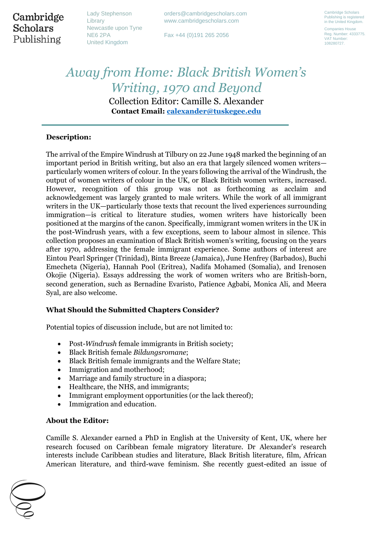Cambridge **Scholars** Publishing

Lady Stephenson Library Newcastle upon Tyne NE6 2PA United Kingdom

orders@cambridgescholars.com www.cambridgescholars.com

Fax +44 (0)191 265 2056

Cambridge Scholars Publishing is registered in the United Kingdom. Companies House

Reg. Number: 4333775. VAT Number: 108280727.

# *Away from Home: Black British Women's Writing, 1970 and Beyond* Collection Editor: Camille S. Alexander **Contact Email: [calexander@tuskegee.edu](mailto:calexander@tuskegee.edu)**

# **Description:**

The arrival of the Empire Windrush at Tilbury on 22 June 1948 marked the beginning of an important period in British writing, but also an era that largely silenced women writers particularly women writers of colour. In the years following the arrival of the Windrush, the output of women writers of colour in the UK, or Black British women writers, increased. However, recognition of this group was not as forthcoming as acclaim and acknowledgement was largely granted to male writers. While the work of all immigrant writers in the UK—particularly those texts that recount the lived experiences surrounding immigration—is critical to literature studies, women writers have historically been positioned at the margins of the canon. Specifically, immigrant women writers in the UK in the post-Windrush years, with a few exceptions, seem to labour almost in silence. This collection proposes an examination of Black British women's writing, focusing on the years after 1970, addressing the female immigrant experience. Some authors of interest are Eintou Pearl Springer (Trinidad), Binta Breeze (Jamaica), June Henfrey (Barbados), Buchi Emecheta (Nigeria), Hannah Pool (Eritrea), Nadifa Mohamed (Somalia), and Irenosen Okojie (Nigeria). Essays addressing the work of women writers who are British-born, second generation, such as Bernadine Evaristo, Patience Agbabi, Monica Ali, and Meera Syal, are also welcome.

# **What Should the Submitted Chapters Consider?**

Potential topics of discussion include, but are not limited to:

- Post-*Windrush* female immigrants in British society;
- Black British female *Bildungsromane*;
- Black British female immigrants and the Welfare State;
- Immigration and motherhood;
- Marriage and family structure in a diaspora;
- Healthcare, the NHS, and immigrants;
- Immigrant employment opportunities (or the lack thereof);
- Immigration and education.

#### **About the Editor:**

Camille S. Alexander earned a PhD in English at the University of Kent, UK, where her research focused on Caribbean female migratory literature. Dr Alexander's research interests include Caribbean studies and literature, Black British literature, film, African American literature, and third-wave feminism. She recently guest-edited an issue of

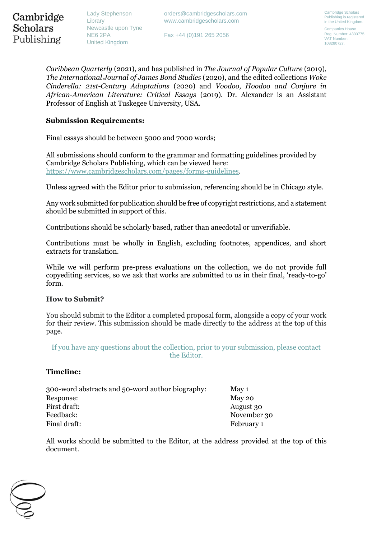Lady Stephenson Library Newcastle upon Tyne NE6 2PA United Kingdom

Fax +44 (0)191 265 2056

Cambridge Scholars Publishing is registered in the United Kingdom. Companies House

Reg. Number: 4333775. VAT Number: 108280727.

*Caribbean Quarterly* (2021), and has published in *The Journal of Popular Culture* (2019), *The International Journal of James Bond Studies* (2020), and the edited collections *Woke Cinderella: 21st-Century Adaptations* (2020) and *Voodoo, Hoodoo and Conjure in African-American Literature: Critical Essays* (2019). Dr. Alexander is an Assistant Professor of English at Tuskegee University, USA.

# **Submission Requirements:**

Final essays should be between 5000 and 7000 words;

All submissions should conform to the grammar and formatting guidelines provided by Cambridge Scholars Publishing, which can be viewed here: [https://www.cambridgescholars.com/pages/forms-guidelines.](https://www.cambridgescholars.com/pages/forms-guidelines)

Unless agreed with the Editor prior to submission, referencing should be in Chicago style.

Any work submitted for publication should be free of copyright restrictions, and a statement should be submitted in support of this.

Contributions should be scholarly based, rather than anecdotal or unverifiable.

Contributions must be wholly in English, excluding footnotes, appendices, and short extracts for translation.

While we will perform pre-press evaluations on the collection, we do not provide full copyediting services, so we ask that works are submitted to us in their final, 'ready-to-go' form.

# **How to Submit?**

You should submit to the Editor a completed proposal form, alongside a copy of your work for their review. This submission should be made directly to the address at the top of this page.

If you have any questions about the collection, prior to your submission, please contact the Editor.

# **Timeline:**

| 300-word abstracts and 50-word author biography: | May 1       |
|--------------------------------------------------|-------------|
| Response:                                        | May 20      |
| First draft:                                     | August 30   |
| Feedback:                                        | November 30 |
| Final draft:                                     | February 1  |

All works should be submitted to the Editor, at the address provided at the top of this document.